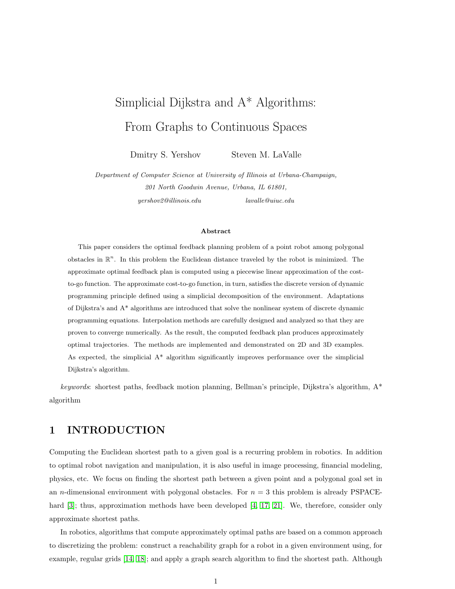# <span id="page-0-1"></span><span id="page-0-0"></span>Simplicial Dijkstra and A\* Algorithms: From Graphs to Continuous Spaces

Dmitry S. Yershov Steven M. LaValle

Department of Computer Science at University of Illinois at Urbana-Champaign, 201 North Goodwin Avenue, Urbana, IL 61801, yershov2@illinois.edu lavalle@uiuc.edu

#### Abstract

This paper considers the optimal feedback planning problem of a point robot among polygonal obstacles in  $\mathbb{R}^n$ . In this problem the Euclidean distance traveled by the robot is minimized. The approximate optimal feedback plan is computed using a piecewise linear approximation of the costto-go function. The approximate cost-to-go function, in turn, satisfies the discrete version of dynamic programming principle defined using a simplicial decomposition of the environment. Adaptations of Dijkstra's and A\* algorithms are introduced that solve the nonlinear system of discrete dynamic programming equations. Interpolation methods are carefully designed and analyzed so that they are proven to converge numerically. As the result, the computed feedback plan produces approximately optimal trajectories. The methods are implemented and demonstrated on 2D and 3D examples. As expected, the simplicial  $A^*$  algorithm significantly improves performance over the simplicial Dijkstra's algorithm.

keywords: shortest paths, feedback motion planning, Bellman's principle, Dijkstra's algorithm,  $A^*$ algorithm

## 1 INTRODUCTION

Computing the Euclidean shortest path to a given goal is a recurring problem in robotics. In addition to optimal robot navigation and manipulation, it is also useful in image processing, financial modeling, physics, etc. We focus on finding the shortest path between a given point and a polygonal goal set in an *n*-dimensional environment with polygonal obstacles. For  $n = 3$  this problem is already PSPACE-hard [\[3\]](#page-17-0); thus, approximation methods have been developed [\[4,](#page-17-1) [17,](#page-18-0) [21\]](#page-18-1). We, therefore, consider only approximate shortest paths.

In robotics, algorithms that compute approximately optimal paths are based on a common approach to discretizing the problem: construct a reachability graph for a robot in a given environment using, for example, regular grids [\[14,](#page-18-2) [18\]](#page-18-3); and apply a graph search algorithm to find the shortest path. Although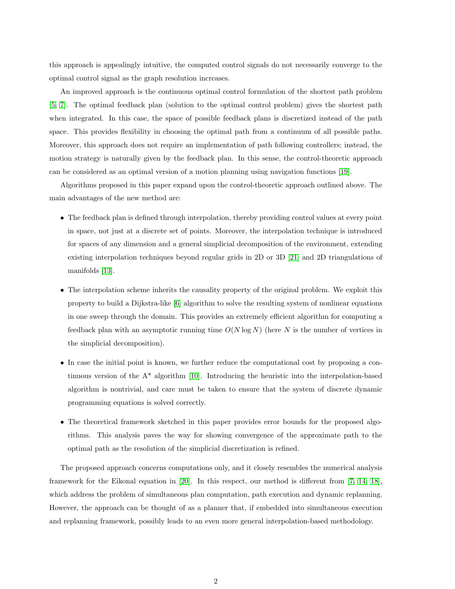<span id="page-1-0"></span>this approach is appealingly intuitive, the computed control signals do not necessarily converge to the optimal control signal as the graph resolution increases.

An improved approach is the continuous optimal control formulation of the shortest path problem [\[5,](#page-17-2) [7\]](#page-17-3). The optimal feedback plan (solution to the optimal control problem) gives the shortest path when integrated. In this case, the space of possible feedback plans is discretized instead of the path space. This provides flexibility in choosing the optimal path from a continuum of all possible paths. Moreover, this approach does not require an implementation of path following controllers; instead, the motion strategy is naturally given by the feedback plan. In this sense, the control-theoretic approach can be considered as an optimal version of a motion planning using navigation functions [\[19\]](#page-18-4).

Algorithms proposed in this paper expand upon the control-theoretic approach outlined above. The main advantages of the new method are:

- The feedback plan is defined through interpolation, thereby providing control values at every point in space, not just at a discrete set of points. Moreover, the interpolation technique is introduced for spaces of any dimension and a general simplicial decomposition of the environment, extending existing interpolation techniques beyond regular grids in 2D or 3D [\[21\]](#page-18-1) and 2D triangulations of manifolds [\[13\]](#page-18-5).
- The interpolation scheme inherits the causality property of the original problem. We exploit this property to build a Dijkstra-like [\[6\]](#page-17-4) algorithm to solve the resulting system of nonlinear equations in one sweep through the domain. This provides an extremely efficient algorithm for computing a feedback plan with an asymptotic running time  $O(N \log N)$  (here N is the number of vertices in the simplicial decomposition).
- In case the initial point is known, we further reduce the computational cost by proposing a continuous version of the  $A^*$  algorithm [\[10\]](#page-18-6). Introducing the heuristic into the interpolation-based algorithm is nontrivial, and care must be taken to ensure that the system of discrete dynamic programming equations is solved correctly.
- The theoretical framework sketched in this paper provides error bounds for the proposed algorithms. This analysis paves the way for showing convergence of the approximate path to the optimal path as the resolution of the simplicial discretization is refined.

The proposed approach concerns computations only, and it closely resembles the numerical analysis framework for the Eikonal equation in [\[20\]](#page-18-7). In this respect, our method is different from [\[7,](#page-17-3) [14,](#page-18-2) [18\]](#page-18-3), which address the problem of simultaneous plan computation, path execution and dynamic replanning. However, the approach can be thought of as a planner that, if embedded into simultaneous execution and replanning framework, possibly leads to an even more general interpolation-based methodology.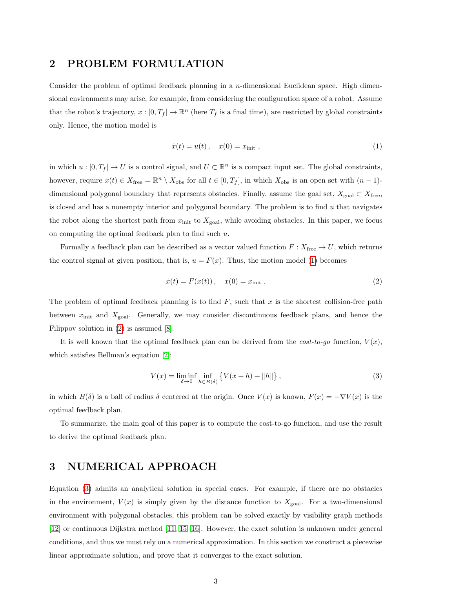## <span id="page-2-3"></span>2 PROBLEM FORMULATION

Consider the problem of optimal feedback planning in a *n*-dimensional Euclidean space. High dimensional environments may arise, for example, from considering the configuration space of a robot. Assume that the robot's trajectory,  $x : [0, T_f] \to \mathbb{R}^n$  (here  $T_f$  is a final time), are restricted by global constraints only. Hence, the motion model is

<span id="page-2-0"></span>
$$
\dot{x}(t) = u(t), \quad x(0) = x_{\text{init}} \,, \tag{1}
$$

in which  $u : [0, T_f] \to U$  is a control signal, and  $U \subset \mathbb{R}^n$  is a compact input set. The global constraints, however, require  $x(t) \in X_{\text{free}} = \mathbb{R}^n \setminus X_{\text{obs}}$  for all  $t \in [0, T_f]$ , in which  $X_{\text{obs}}$  is an open set with  $(n-1)$ dimensional polygonal boundary that represents obstacles. Finally, assume the goal set,  $X_{\text{goal}} \subset X_{\text{free}}$ , is closed and has a nonempty interior and polygonal boundary. The problem is to find  $u$  that navigates the robot along the shortest path from  $x_{\text{init}}$  to  $X_{\text{goal}}$ , while avoiding obstacles. In this paper, we focus on computing the optimal feedback plan to find such  $u$ .

Formally a feedback plan can be described as a vector valued function  $F: X_{\text{free}} \to U$ , which returns the control signal at given position, that is,  $u = F(x)$ . Thus, the motion model [\(1\)](#page-2-0) becomes

<span id="page-2-1"></span>
$$
\dot{x}(t) = F(x(t)), \quad x(0) = x_{\text{init}}.
$$
\n(2)

The problem of optimal feedback planning is to find  $F$ , such that x is the shortest collision-free path between  $x_{\text{init}}$  and  $X_{\text{goal}}$ . Generally, we may consider discontinuous feedback plans, and hence the Filippov solution in [\(2\)](#page-2-1) is assumed [\[8\]](#page-17-5).

It is well known that the optimal feedback plan can be derived from the  $cost-to-qo$  function,  $V(x)$ , which satisfies Bellman's equation [\[2\]](#page-17-6):

<span id="page-2-2"></span>
$$
V(x) = \liminf_{\delta \to 0} \inf_{h \in B(\delta)} \left\{ V(x+h) + ||h|| \right\},\tag{3}
$$

in which  $B(\delta)$  is a ball of radius  $\delta$  centered at the origin. Once  $V(x)$  is known,  $F(x) = -\nabla V(x)$  is the optimal feedback plan.

To summarize, the main goal of this paper is to compute the cost-to-go function, and use the result to derive the optimal feedback plan.

## 3 NUMERICAL APPROACH

Equation [\(3\)](#page-2-2) admits an analytical solution in special cases. For example, if there are no obstacles in the environment,  $V(x)$  is simply given by the distance function to  $X_{\text{goal}}$ . For a two-dimensional environment with polygonal obstacles, this problem can be solved exactly by visibility graph methods [\[12\]](#page-18-8) or continuous Dijkstra method [\[11,](#page-18-9) [15,](#page-18-10) [16\]](#page-18-11). However, the exact solution is unknown under general conditions, and thus we must rely on a numerical approximation. In this section we construct a piecewise linear approximate solution, and prove that it converges to the exact solution.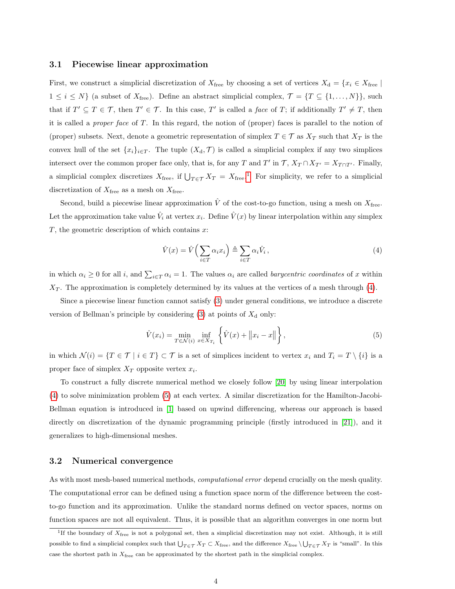#### <span id="page-3-3"></span>3.1 Piecewise linear approximation

First, we construct a simplicial discretization of  $X_{\text{free}}$  by choosing a set of vertices  $X_{\text{d}} = \{x_i \in X_{\text{free}} |$  $1 \leq i \leq N$  (a subset of  $X_{\text{free}}$ ). Define an abstract simplicial complex,  $\mathcal{T} = \{T \subseteq \{1, ..., N\}\}$ , such that if  $T' \subseteq T \in \mathcal{T}$ , then  $T' \in \mathcal{T}$ . In this case, T' is called a *face* of T; if additionally  $T' \neq T$ , then it is called a *proper face* of  $T$ . In this regard, the notion of (proper) faces is parallel to the notion of (proper) subsets. Next, denote a geometric representation of simplex  $T \in \mathcal{T}$  as  $X_T$  such that  $X_T$  is the convex hull of the set  $\{x_i\}_{i\in T}$ . The tuple  $(X_d, \mathcal{T})$  is called a simplicial complex if any two simplices intersect over the common proper face only, that is, for any T and T' in  $\mathcal{T}$ ,  $X_T \cap X_{T'} = X_{T \cap T'}$ . Finally, a simplicial complex discretizes  $X_{\text{free}}$ , if  $\bigcup_{T \in \mathcal{T}} X_T = X_{\text{free}}$ . For simplicity, we refer to a simplicial discretization of  $X_{\text{free}}$  as a mesh on  $X_{\text{free}}$ .

Second, build a piecewise linear approximation  $\hat{V}$  of the cost-to-go function, using a mesh on  $X_{\text{free}}$ . Let the approximation take value  $\hat{V}_i$  at vertex  $x_i$ . Define  $\hat{V}(x)$  by linear interpolation within any simplex  $T$ , the geometric description of which contains  $x$ :

<span id="page-3-2"></span><span id="page-3-1"></span>
$$
\hat{V}(x) = \hat{V}\left(\sum_{i \in T} \alpha_i x_i\right) \triangleq \sum_{i \in T} \alpha_i \hat{V}_i,
$$
\n(4)

in which  $\alpha_i \geq 0$  for all i, and  $\sum_{i \in T} \alpha_i = 1$ . The values  $\alpha_i$  are called *barycentric coordinates* of x within  $X_T$ . The approximation is completely determined by its values at the vertices of a mesh through  $(4)$ .

Since a piecewise linear function cannot satisfy [\(3\)](#page-2-2) under general conditions, we introduce a discrete version of Bellman's principle by considering  $(3)$  at points of  $X_d$  only:

$$
\hat{V}(x_i) = \min_{T \in \mathcal{N}(i)} \inf_{x \in X_{T_i}} \left\{ \hat{V}(x) + ||x_i - x|| \right\},\tag{5}
$$

in which  $\mathcal{N}(i) = \{T \in \mathcal{T} \mid i \in T\} \subset \mathcal{T}$  is a set of simplices incident to vertex  $x_i$  and  $T_i = T \setminus \{i\}$  is a proper face of simplex  $X_T$  opposite vertex  $x_i$ .

To construct a fully discrete numerical method we closely follow [\[20\]](#page-18-7) by using linear interpolation [\(4\)](#page-3-1) to solve minimization problem [\(5\)](#page-3-2) at each vertex. A similar discretization for the Hamilton-Jacobi-Bellman equation is introduced in [\[1\]](#page-17-7) based on upwind differencing, whereas our approach is based directly on discretization of the dynamic programming principle (firstly introduced in [\[21\]](#page-18-1)), and it generalizes to high-dimensional meshes.

#### 3.2 Numerical convergence

As with most mesh-based numerical methods, *computational error* depend crucially on the mesh quality. The computational error can be defined using a function space norm of the difference between the costto-go function and its approximation. Unlike the standard norms defined on vector spaces, norms on function spaces are not all equivalent. Thus, it is possible that an algorithm converges in one norm but

<span id="page-3-0"></span><sup>&</sup>lt;sup>1</sup>If the boundary of  $X_{\text{free}}$  is not a polygonal set, then a simplicial discretization may not exist. Although, it is still possible to find a simplicial complex such that  $\bigcup_{T \in \mathcal{T}} X_T \subset X_{\text{free}}$ , and the difference  $X_{\text{free}} \setminus \bigcup_{T \in \mathcal{T}} X_T$  is "small". In this case the shortest path in  $X_{\text{free}}$  can be approximated by the shortest path in the simplicial complex.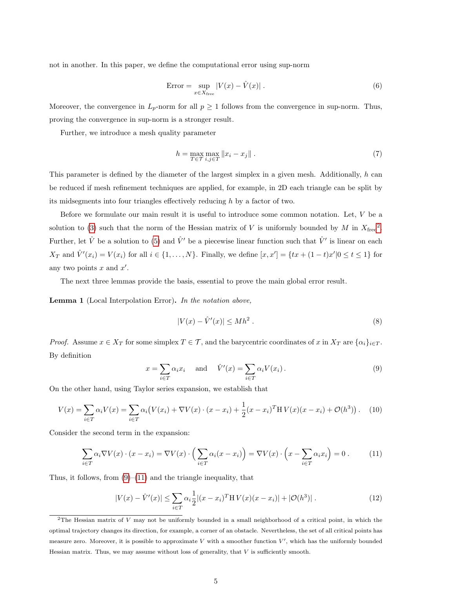not in another. In this paper, we define the computational error using sup-norm

$$
Error = \sup_{x \in X_{\text{free}}} |V(x) - \hat{V}(x)|.
$$
 (6)

Moreover, the convergence in  $L_p$ -norm for all  $p \geq 1$  follows from the convergence in sup-norm. Thus, proving the convergence in sup-norm is a stronger result.

Further, we introduce a mesh quality parameter

$$
h = \max_{T \in \mathcal{T}} \max_{i,j \in T} ||x_i - x_j||. \tag{7}
$$

This parameter is defined by the diameter of the largest simplex in a given mesh. Additionally, h can be reduced if mesh refinement techniques are applied, for example, in 2D each triangle can be split by its midsegments into four triangles effectively reducing  $h$  by a factor of two.

Before we formulate our main result it is useful to introduce some common notation. Let, V be a solution to [\(3\)](#page-2-2) such that the norm of the Hessian matrix of V is uniformly bounded by M in  $X_{\text{free}}^2$  $X_{\text{free}}^2$ . Further, let  $\hat{V}$  be a solution to [\(5\)](#page-3-2) and  $\hat{V}'$  be a piecewise linear function such that  $\hat{V}'$  is linear on each  $X_T$  and  $\hat{V}'(x_i) = V(x_i)$  for all  $i \in \{1, ..., N\}$ . Finally, we define  $[x, x'] = \{tx + (1-t)x'|0 \le t \le 1\}$  for any two points  $x$  and  $x'$ .

The next three lemmas provide the basis, essential to prove the main global error result.

<span id="page-4-4"></span>Lemma 1 (Local Interpolation Error). In the notation above,

$$
|V(x) - \hat{V}'(x)| \le Mh^2. \tag{8}
$$

<span id="page-4-1"></span>*Proof.* Assume  $x \in X_T$  for some simplex  $T \in \mathcal{T}$ , and the barycentric coordinates of x in  $X_T$  are  $\{\alpha_i\}_{i \in T}$ . By definition

<span id="page-4-2"></span>
$$
x = \sum_{i \in T} \alpha_i x_i \quad \text{and} \quad \hat{V}'(x) = \sum_{i \in T} \alpha_i V(x_i).
$$
 (9)

On the other hand, using Taylor series expansion, we establish that

$$
V(x) = \sum_{i \in T} \alpha_i V(x) = \sum_{i \in T} \alpha_i (V(x_i) + \nabla V(x) \cdot (x - x_i) + \frac{1}{2} (x - x_i)^T H V(x) (x - x_i) + \mathcal{O}(h^3)). \tag{10}
$$

Consider the second term in the expansion:

$$
\sum_{i \in T} \alpha_i \nabla V(x) \cdot (x - x_i) = \nabla V(x) \cdot \left( \sum_{i \in T} \alpha_i (x - x_i) \right) = \nabla V(x) \cdot \left( x - \sum_{i \in T} \alpha_i x_i \right) = 0 \tag{11}
$$

Thus, it follows, from  $(9)$ – $(11)$  and the triangle inequality, that

<span id="page-4-3"></span>
$$
|V(x) - \hat{V}'(x)| \le \sum_{i \in T} \alpha_i \frac{1}{2} |(x - x_i)^T H V(x) (x - x_i)| + |\mathcal{O}(h^3)|.
$$
 (12)

<span id="page-4-0"></span> $2$ The Hessian matrix of V may not be uniformly bounded in a small neighborhood of a critical point, in which the optimal trajectory changes its direction, for example, a corner of an obstacle. Nevertheless, the set of all critical points has measure zero. Moreover, it is possible to approximate  $V$  with a smoother function  $V'$ , which has the uniformly bounded Hessian matrix. Thus, we may assume without loss of generality, that  $V$  is sufficiently smooth.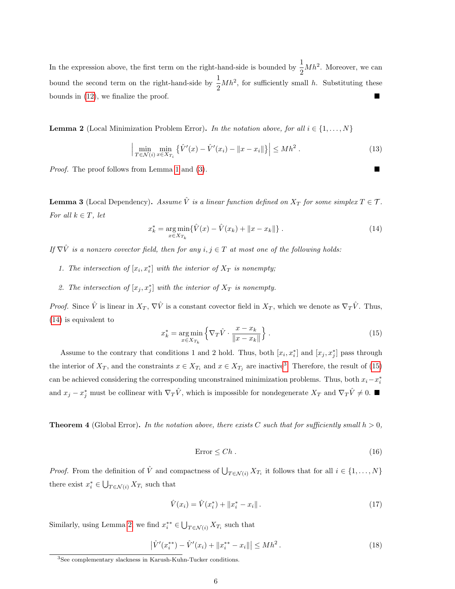In the expression above, the first term on the right-hand-side is bounded by  $\frac{1}{2}Mh^2$ . Moreover, we can bound the second term on the right-hand-side by  $\frac{1}{2}Mh^2$ , for sufficiently small h. Substituting these bounds in [\(12\)](#page-4-3), we finalize the proof.

<span id="page-5-3"></span>**Lemma 2** (Local Minimization Problem Error). In the notation above, for all  $i \in \{1, \ldots, N\}$ 

$$
\left| \min_{T \in \mathcal{N}(i)} \min_{x \in X_{T_i}} \left\{ \hat{V}'(x) - \hat{V}'(x_i) - ||x - x_i|| \right\} \right| \le M h^2. \tag{13}
$$

Proof. The proof follows from Lemma [1](#page-4-4) and [\(3\)](#page-2-2).

<span id="page-5-6"></span>**Lemma 3** (Local Dependency). Assume  $\hat{V}$  is a linear function defined on  $X_T$  for some simplex  $T \in \mathcal{T}$ . For all  $k \in T$ , let

<span id="page-5-0"></span>
$$
x_k^* = \underset{x \in X_{T_k}}{\arg \min} \{ \hat{V}(x) - \hat{V}(x_k) + ||x - x_k|| \} . \tag{14}
$$

If  $\nabla \hat{V}$  is a nonzero covector field, then for any  $i, j \in T$  at most one of the following holds:

- 1. The intersection of  $[x_i, x_i^*]$  with the interior of  $X_T$  is nonempty;
- 2. The intersection of  $[x_j, x_j^*]$  with the interior of  $X_T$  is nonempty.

*Proof.* Since  $\hat{V}$  is linear in  $X_T$ ,  $\nabla \hat{V}$  is a constant covector field in  $X_T$ , which we denote as  $\nabla_T \hat{V}$ . Thus, [\(14\)](#page-5-0) is equivalent to

<span id="page-5-2"></span>
$$
x_k^* = \underset{x \in X_{T_k}}{\arg \min} \left\{ \nabla_T \hat{V} \cdot \frac{x - x_k}{\|x - x_k\|} \right\}. \tag{15}
$$

Assume to the contrary that conditions 1 and 2 hold. Thus, both  $[x_i, x_i^*]$  and  $[x_j, x_j^*]$  pass through the interior of  $X_T$ , and the constraints  $x \in X_{T_i}$  and  $x \in X_{T_j}$  are inactive<sup>[3](#page-5-1)</sup>. Therefore, the result of [\(15\)](#page-5-2) can be achieved considering the corresponding unconstrained minimization problems. Thus, both  $x_i - x_i^*$ and  $x_j - x_j^*$  must be collinear with  $\nabla_T \hat{V}$ , which is impossible for nondegenerate  $X_T$  and  $\nabla_T \hat{V} \neq 0$ .

<span id="page-5-7"></span>**Theorem 4** (Global Error). In the notation above, there exists C such that for sufficiently small  $h > 0$ ,

$$
Error \le Ch. \tag{16}
$$

*Proof.* From the definition of  $\hat{V}$  and compactness of  $\bigcup_{T \in \mathcal{N}(i)} X_{T_i}$  it follows that for all  $i \in \{1, ..., N\}$ there exist  $x_i^* \in \bigcup_{T \in \mathcal{N}(i)} X_{T_i}$  such that

<span id="page-5-5"></span><span id="page-5-4"></span>
$$
\hat{V}(x_i) = \hat{V}(x_i^*) + \|x_i^* - x_i\|.
$$
\n(17)

Similarly, using Lemma [2,](#page-5-3) we find  $x_i^{**} \in \bigcup_{T \in \mathcal{N}(i)} X_{T_i}$  such that

$$
\left|\hat{V}'(x_i^{**}) - \hat{V}'(x_i) + \|x_i^{**} - x_i\|\right| \le Mh^2.
$$
\n(18)

<span id="page-5-1"></span><sup>3</sup>See complementary slackness in Karush-Kuhn-Tucker conditions.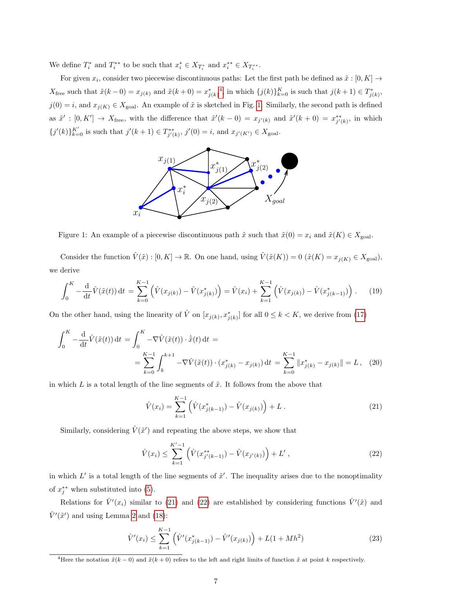We define  $T_i^*$  and  $T_i^{**}$  to be such that  $x_i^* \in X_{T_i^*}$  and  $x_i^{**} \in X_{T_i^{**}}$ .

<span id="page-6-1"></span>For given  $x_i$ , consider two piecewise discontinuous paths: Let the first path be defined as  $\tilde{x} : [0, K] \rightarrow$  $X_{\text{free}}$  such that  $\tilde{x}(k-0) = x_{j(k)}$  and  $\tilde{x}(k+0) = x_{j(k)}^*$ , in which  $\{j(k)\}_{k=0}^K$  is such that  $j(k+1) \in T_{j(k)}^*$ ,  $j(0) = i$ , and  $x_{j(K)} \in X_{\text{goal}}$ . An example of  $\tilde{x}$  is sketched in Fig. [1.](#page-6-1) Similarly, the second path is defined as  $\tilde{x}' : [0, K'] \to X_{\text{free}}$ , with the difference that  $\tilde{x}'(k-0) = x_{j'(k)}$  and  $\tilde{x}'(k+0) = x_{j'(k)}^{**}$ , in which  ${j'(k)}_{k=0}^{K'}$  is such that  $j'(k+1) \in T_{j'(k)}^{**}$ ,  $j'(0) = i$ , and  $x_{j'(K')} \in X_{\text{goal}}$ .



Figure 1: An example of a piecewise discontinuous path  $\tilde{x}$  such that  $\tilde{x}(0) = x_i$  and  $\tilde{x}(K) \in X_{\text{goal}}$ .

Consider the function  $\hat{V}(\tilde{x}) : [0, K] \to \mathbb{R}$ . On one hand, using  $\hat{V}(\tilde{x}(K)) = 0$   $(\tilde{x}(K) = x_{j(K)} \in X_{\text{goal}})$ , we derive

$$
\int_0^K -\frac{\mathrm{d}}{\mathrm{d}t}\hat{V}(\tilde{x}(t))\,\mathrm{d}t\,=\,\sum_{k=0}^{K-1}\left(\hat{V}(x_{j(k)})-\hat{V}(x_{j(k)}^*)\right)=\hat{V}(x_i)+\sum_{k=1}^{K-1}\left(\hat{V}(x_{j(k)})-\hat{V}(x_{j(k-1)}^*)\right). \tag{19}
$$

On the other hand, using the linearity of  $\hat{V}$  on  $[x_{j(k)}, x^{*}_{j(k)}]$  for all  $0 \leq k \leq K$ , we derive from [\(17\)](#page-5-4)

$$
\int_0^K -\frac{\mathrm{d}}{\mathrm{d}t} \hat{V}(\tilde{x}(t)) \,\mathrm{d}t = \int_0^K -\nabla \hat{V}(\tilde{x}(t)) \cdot \dot{\tilde{x}}(t) \,\mathrm{d}t =
$$
\n
$$
= \sum_{k=0}^{K-1} \int_k^{k+1} -\nabla \hat{V}(\tilde{x}(t)) \cdot (x_{j(k)}^* - x_{j(k)}) \,\mathrm{d}t = \sum_{k=0}^{K-1} \|x_{j(k)}^* - x_{j(k)}\| = L, \quad (20)
$$

in which  $L$  is a total length of the line segments of  $\tilde{x}$ . It follows from the above that

<span id="page-6-3"></span><span id="page-6-2"></span>
$$
\hat{V}(x_i) = \sum_{k=1}^{K-1} \left( \hat{V}(x_{j(k-1)}^*) - \hat{V}(x_{j(k)}) \right) + L \tag{21}
$$

Similarly, considering  $\hat{V}(\tilde{x}')$  and repeating the above steps, we show that

$$
\hat{V}(x_i) \le \sum_{k=1}^{K'-1} \left( \hat{V}(x_{j'(k-1)}^{**}) - \hat{V}(x_{j'(k)}) \right) + L', \qquad (22)
$$

in which  $L'$  is a total length of the line segments of  $\tilde{x}'$ . The inequality arises due to the nonoptimality of  $x_j^{**}$  when substituted into [\(5\)](#page-3-2).

Relations for  $\hat{V}'(x_i)$  similar to [\(21\)](#page-6-2) and [\(22\)](#page-6-3) are established by considering functions  $\hat{V}'(\tilde{x})$  and  $\hat{V}'(\tilde{x}')$  and using Lemma [2](#page-5-3) and [\(18\)](#page-5-5):

$$
\hat{V}'(x_i) \le \sum_{k=1}^{K-1} \left( \hat{V}'(x_{j(k-1)}^*) - \hat{V}'(x_{j(k)}) \right) + L(1 + Mh^2)
$$
\n(23)

<span id="page-6-0"></span><sup>&</sup>lt;sup>4</sup>Here the notation  $\tilde{x}(k-0)$  and  $\tilde{x}(k+0)$  refers to the left and right limits of function  $\tilde{x}$  at point k respectively.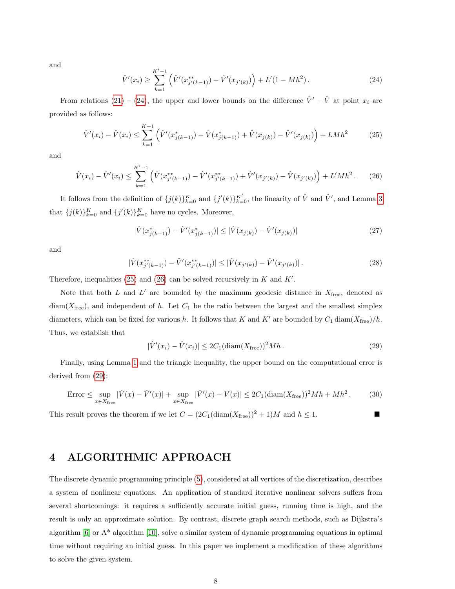<span id="page-7-0"></span>and

<span id="page-7-4"></span><span id="page-7-1"></span>
$$
\hat{V}'(x_i) \ge \sum_{k=1}^{K'-1} \left( \hat{V}'(x_{j'(k-1)}^{**}) - \hat{V}'(x_{j'(k)}) \right) + L'(1 - Mh^2). \tag{24}
$$

From relations [\(21\)](#page-6-2) – [\(24\)](#page-7-0), the upper and lower bounds on the difference  $\hat{V}' - \hat{V}$  at point  $x_i$  are provided as follows:

$$
\hat{V}'(x_i) - \hat{V}(x_i) \le \sum_{k=1}^{K-1} \left( \hat{V}'(x_{j(k-1)}^*) - \hat{V}(x_{j(k-1)}^*) + \hat{V}(x_{j(k)}) - \hat{V}'(x_{j(k)}) \right) + L M h^2 \tag{25}
$$

<span id="page-7-2"></span>and

$$
\hat{V}(x_i) - \hat{V}'(x_i) \le \sum_{k=1}^{K'-1} \left( \hat{V}(x_{j'(k-1)}^{**}) - \hat{V}'(x_{j'(k-1)}^{**}) + \hat{V}'(x_{j'(k)}) - \hat{V}(x_{j'(k)}) \right) + L'Mh^2. \tag{26}
$$

It follows from the definition of  $\{j(k)\}_{k=0}^K$  and  $\{j'(k)\}_{k=0}^{K'}$ , the linearity of  $\hat{V}$  and  $\hat{V}'$ , and Lemma [3](#page-5-6) that  $\{j(k)\}_{k=0}^K$  and  $\{j'(k)\}_{k=0}^K$  have no cycles. Moreover,

$$
|\hat{V}(x_{j(k-1)}^*) - \hat{V}'(x_{j(k-1)}^*)| \le |\hat{V}(x_{j(k)}) - \hat{V}'(x_{j(k)})|
$$
\n(27)

and

$$
|\hat{V}(x_{j'(k-1)}^{**}) - \hat{V}'(x_{j'(k-1)}^{**})| \leq |\hat{V}(x_{j'(k)}) - \hat{V}'(x_{j'(k)})|.
$$
\n(28)

Therefore, inequalities [\(25\)](#page-7-1) and [\(26\)](#page-7-2) can be solved recursively in  $K$  and  $K'$ .

Note that both  $L$  and  $L'$  are bounded by the maximum geodesic distance in  $X_{\text{free}}$ , denoted as  $diam(X_{free})$ , and independent of h. Let  $C_1$  be the ratio between the largest and the smallest simplex diameters, which can be fixed for various h. It follows that K and K' are bounded by  $C_1 \text{diam}(X_{\text{free}})/h$ . Thus, we establish that

<span id="page-7-3"></span>
$$
|\hat{V}'(x_i) - \hat{V}(x_i)| \le 2C_1(\text{diam}(X_{\text{free}}))^2 M h. \tag{29}
$$

Finally, using Lemma [1](#page-4-4) and the triangle inequality, the upper bound on the computational error is derived from [\(29\)](#page-7-3):

$$
\text{Error} \le \sup_{x \in X_{\text{free}}} |\hat{V}(x) - \hat{V}'(x)| + \sup_{x \in X_{\text{free}}} |\hat{V}'(x) - V(x)| \le 2C_1(\text{diam}(X_{\text{free}}))^2 M h + M h^2. \tag{30}
$$

This result proves the theorem if we let  $C = (2C_1(\text{diam}(X_{\text{free}}))^2 + 1)M$  and  $h \leq 1$ .

# 4 ALGORITHMIC APPROACH

The discrete dynamic programming principle [\(5\)](#page-3-2), considered at all vertices of the discretization, describes a system of nonlinear equations. An application of standard iterative nonlinear solvers suffers from several shortcomings: it requires a sufficiently accurate initial guess, running time is high, and the result is only an approximate solution. By contrast, discrete graph search methods, such as Dijkstra's algorithm  $[6]$  or  $A^*$  algorithm  $[10]$ , solve a similar system of dynamic programming equations in optimal time without requiring an initial guess. In this paper we implement a modification of these algorithms to solve the given system.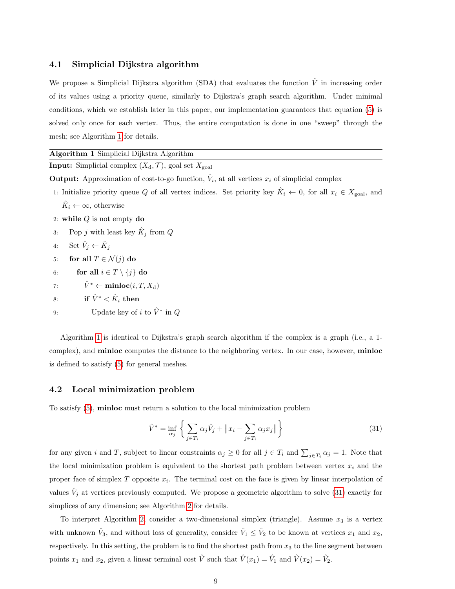### <span id="page-8-1"></span>4.1 Simplicial Dijkstra algorithm

We propose a Simplicial Dijkstra algorithm (SDA) that evaluates the function  $\hat{V}$  in increasing order of its values using a priority queue, similarly to Dijkstra's graph search algorithm. Under minimal conditions, which we establish later in this paper, our implementation guarantees that equation [\(5\)](#page-3-2) is solved only once for each vertex. Thus, the entire computation is done in one "sweep" through the mesh; see Algorithm [1](#page-0-0) for details.

| Algorithm 1 Simplicial Dijkstra Algorithm                                                                                           |  |
|-------------------------------------------------------------------------------------------------------------------------------------|--|
| <b>Input:</b> Simplicial complex $(X_d, \mathcal{T})$ , goal set $X_{\text{goal}}$                                                  |  |
| <b>Output:</b> Approximation of cost-to-go function, $V_i$ , at all vertices $x_i$ of simplicial complex                            |  |
| 1: Initialize priority queue Q of all vertex indices. Set priority key $K_i \leftarrow 0$ , for all $x_i \in X_{\text{goal}}$ , and |  |
| $\hat{K}_i \leftarrow \infty$ , otherwise                                                                                           |  |
| 2: while $Q$ is not empty do                                                                                                        |  |
| Pop j with least key $\hat{K}_i$ from Q<br>3:                                                                                       |  |
| Set $\hat{V}_i \leftarrow \hat{K}_i$<br>4:                                                                                          |  |
| for all $T \in \mathcal{N}(j)$ do<br>5:                                                                                             |  |
| for all $i \in T \setminus \{j\}$ do<br>6:                                                                                          |  |
| $\hat{V}^* \leftarrow \text{minloc}(i, T, X_d)$<br>7:                                                                               |  |
| if $\hat{V}^* < \hat{K}_i$ then<br>8:                                                                                               |  |
| Update key of i to $\hat{V}^*$ in Q<br>9:                                                                                           |  |

Algorithm [1](#page-0-0) is identical to Dijkstra's graph search algorithm if the complex is a graph (i.e., a 1 complex), and minloc computes the distance to the neighboring vertex. In our case, however, minloc is defined to satisfy [\(5\)](#page-3-2) for general meshes.

### <span id="page-8-2"></span>4.2 Local minimization problem

To satisfy [\(5\)](#page-3-2), minloc must return a solution to the local minimization problem

<span id="page-8-0"></span>
$$
\hat{V}^* = \inf_{\alpha_j} \left\{ \sum_{j \in T_i} \alpha_j \hat{V}_j + ||x_i - \sum_{j \in T_i} \alpha_j x_j|| \right\}
$$
\n(31)

for any given i and T, subject to linear constraints  $\alpha_j \geq 0$  for all  $j \in T_i$  and  $\sum_{j \in T_i} \alpha_j = 1$ . Note that the local minimization problem is equivalent to the shortest path problem between vertex  $x_i$  and the proper face of simplex  $T$  opposite  $x_i$ . The terminal cost on the face is given by linear interpolation of values  $\hat{V}_j$  at vertices previously computed. We propose a geometric algorithm to solve [\(31\)](#page-8-0) exactly for simplices of any dimension; see Algorithm [2](#page-0-0) for details.

To interpret Algorithm [2,](#page-0-0) consider a two-dimensional simplex (triangle). Assume  $x_3$  is a vertex with unknown  $\hat{V}_3$ , and without loss of generality, consider  $\hat{V}_1 \leq \hat{V}_2$  to be known at vertices  $x_1$  and  $x_2$ , respectively. In this setting, the problem is to find the shortest path from  $x_3$  to the line segment between points  $x_1$  and  $x_2$ , given a linear terminal cost  $\hat{V}$  such that  $\hat{V}(x_1) = \hat{V}_1$  and  $\hat{V}(x_2) = \hat{V}_2$ .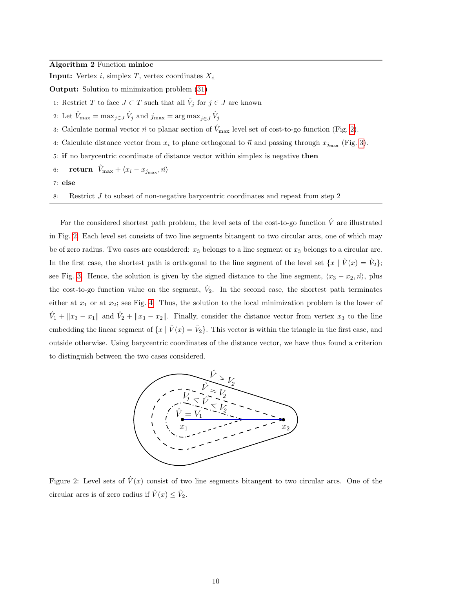#### Algorithm 2 Function minloc

**Input:** Vertex *i*, simplex *T*, vertex coordinates  $X_d$ 

Output: Solution to minimization problem [\(31\)](#page-8-0)

- 1: Restrict T to face  $J \subset T$  such that all  $\hat{V}_j$  for  $j \in J$  are known
- 2: Let  $\hat{V}_{\text{max}} = \max_{j \in J} \hat{V}_j$  and  $j_{\text{max}} = \arg \max_{j \in J} \hat{V}_j$
- 3: Calculate normal vector  $\vec{n}$  to planar section of  $\hat{V}_{\text{max}}$  level set of cost-to-go function (Fig. [2\)](#page-9-0).
- 4: Calculate distance vector from  $x_i$  to plane orthogonal to  $\vec{n}$  and passing through  $x_{j_{\text{max}}}$  (Fig. [3\)](#page-10-0).
- 5: if no barycentric coordinate of distance vector within simplex is negative then
- 6: return  $\hat{V}_{\rm max} + \langle x_i x_{j_{\rm max}}, \vec{n} \rangle$
- 7: else
- 8: Restrict J to subset of non-negative barycentric coordinates and repeat from step 2

For the considered shortest path problem, the level sets of the cost-to-go function  $\hat{V}$  are illustrated in Fig. [2.](#page-9-0) Each level set consists of two line segments bitangent to two circular arcs, one of which may be of zero radius. Two cases are considered:  $x_3$  belongs to a line segment or  $x_3$  belongs to a circular arc. In the first case, the shortest path is orthogonal to the line segment of the level set  $\{x \mid \hat{V}(x) = \hat{V}_2\};$ see Fig. [3.](#page-10-0) Hence, the solution is given by the signed distance to the line segment,  $\langle x_3 - x_2, \vec{n} \rangle$ , plus the cost-to-go function value on the segment,  $\hat{V}_2$ . In the second case, the shortest path terminates either at  $x_1$  or at  $x_2$ ; see Fig. [4.](#page-10-1) Thus, the solution to the local minimization problem is the lower of  $\hat{V}_1 + ||x_3 - x_1||$  and  $\hat{V}_2 + ||x_3 - x_2||$ . Finally, consider the distance vector from vertex  $x_3$  to the line embedding the linear segment of  $\{x \mid \hat{V}(x) = \hat{V}_2\}$ . This vector is within the triangle in the first case, and outside otherwise. Using barycentric coordinates of the distance vector, we have thus found a criterion to distinguish between the two cases considered.

<span id="page-9-0"></span>

Figure 2: Level sets of  $\hat{V}(x)$  consist of two line segments bitangent to two circular arcs. One of the circular arcs is of zero radius if  $\hat{V}(x) \leq \hat{V}_2$ .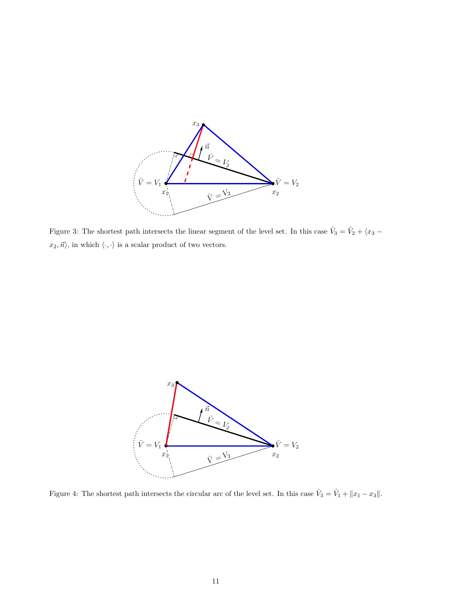<span id="page-10-0"></span>

Figure 3: The shortest path intersects the linear segment of the level set. In this case  $\hat{V}_3 = \hat{V}_2 + \langle x_3 - \hat{V}_3 \rangle$  $x_2, \vec{n}\rangle,$  in which  $\langle\cdot,\cdot\rangle$  is a scalar product of two vectors.

<span id="page-10-1"></span>

Figure 4: The shortest path intersects the circular arc of the level set. In this case  $\hat{V}_3 = \hat{V}_1 + ||x_1 - x_3||$ .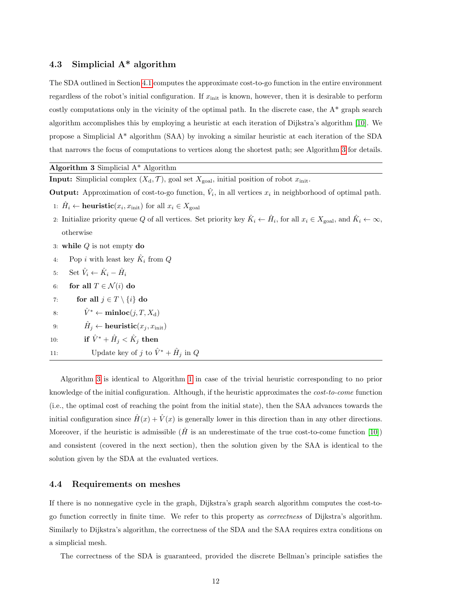## <span id="page-11-0"></span>4.3 Simplicial A\* algorithm

The SDA outlined in Section [4.1](#page-8-1) computes the approximate cost-to-go function in the entire environment regardless of the robot's initial configuration. If  $x_{\text{init}}$  is known, however, then it is desirable to perform costly computations only in the vicinity of the optimal path. In the discrete case, the A\* graph search algorithm accomplishes this by employing a heuristic at each iteration of Dijkstra's algorithm [\[10\]](#page-18-6). We propose a Simplicial A\* algorithm (SAA) by invoking a similar heuristic at each iteration of the SDA that narrows the focus of computations to vertices along the shortest path; see Algorithm [3](#page-0-0) for details.

Algorithm 3 Simplicial A\* Algorithm

**Input:** Simplicial complex  $(X_d, \mathcal{T})$ , goal set  $X_{goal}$ , initial position of robot  $x_{init}$ .

**Output:** Approximation of cost-to-go function,  $\hat{V}_i$ , in all vertices  $x_i$  in neighborhood of optimal path.

1:  $\hat{H}_i \leftarrow \text{heuristic}(x_i, x_{\text{init}})$  for all  $x_i \in X_{\text{goal}}$ 

2: Initialize priority queue Q of all vertices. Set priority key  $\hat{K}_i \leftarrow \hat{H}_i$ , for all  $x_i \in X_{\text{goal}}$ , and  $\hat{K}_i \leftarrow \infty$ , otherwise

- 3: while  $Q$  is not empty do
- 4: Pop *i* with least key  $\hat{K}_i$  from  $Q$
- 5: Set  $\hat{V}_i \leftarrow \hat{K}_i \hat{H}_i$
- 6: for all  $T \in \mathcal{N}(i)$  do
- 7: for all  $j \in T \setminus \{i\}$  do
- 8:  $\hat{V}^* \leftarrow \text{minloc}(j, T, X_d)$
- $\hat{H}_j \leftarrow \textbf{heuristic}(x_j, x_{\text{init}})$
- 10:  $\qquad \qquad \textbf{if} \,\, \hat{V}^* + \hat{H}_j < \hat{K}_j \,\, \textbf{then}$
- 11: Update key of j to  $\hat{V}^* + \hat{H}_j$  in Q

Algorithm [3](#page-0-0) is identical to Algorithm [1](#page-0-0) in case of the trivial heuristic corresponding to no prior knowledge of the initial configuration. Although, if the heuristic approximates the cost-to-come function (i.e., the optimal cost of reaching the point from the initial state), then the SAA advances towards the initial configuration since  $\hat{H}(x) + \hat{V}(x)$  is generally lower in this direction than in any other directions. Moreover, if the heuristic is admissible ( $\hat{H}$  is an underestimate of the true cost-to-come function [\[10\]](#page-18-6)) and consistent (covered in the next section), then the solution given by the SAA is identical to the solution given by the SDA at the evaluated vertices.

#### 4.4 Requirements on meshes

If there is no nonnegative cycle in the graph, Dijkstra's graph search algorithm computes the cost-togo function correctly in finite time. We refer to this property as correctness of Dijkstra's algorithm. Similarly to Dijkstra's algorithm, the correctness of the SDA and the SAA requires extra conditions on a simplicial mesh.

The correctness of the SDA is guaranteed, provided the discrete Bellman's principle satisfies the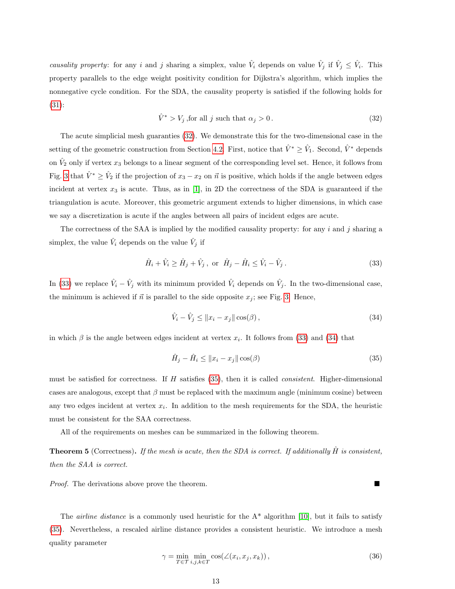<span id="page-12-5"></span><span id="page-12-0"></span>causality property: for any i and j sharing a simplex, value  $\hat{V}_i$  depends on value  $\hat{V}_j$  if  $\hat{V}_j \leq \hat{V}_i$ . This property parallels to the edge weight positivity condition for Dijkstra's algorithm, which implies the nonnegative cycle condition. For the SDA, the causality property is satisfied if the following holds for [\(31\)](#page-8-0):

$$
\hat{V}^* > V_j \text{, for all } j \text{ such that } \alpha_j > 0. \tag{32}
$$

The acute simplicial mesh guaranties [\(32\)](#page-12-0). We demonstrate this for the two-dimensional case in the setting of the geometric construction from Section [4.2.](#page-8-2) First, notice that  $\hat{V}^* \geq \hat{V}_1$ . Second,  $\hat{V}^*$  depends on  $\hat{V}_2$  only if vertex  $x_3$  belongs to a linear segment of the corresponding level set. Hence, it follows from Fig. [3](#page-10-0) that  $\hat{V}^* \geq \hat{V}_2$  if the projection of  $x_3 - x_2$  on  $\vec{n}$  is positive, which holds if the angle between edges incident at vertex  $x_3$  is acute. Thus, as in [\[1\]](#page-17-7), in 2D the correctness of the SDA is guaranteed if the triangulation is acute. Moreover, this geometric argument extends to higher dimensions, in which case we say a discretization is acute if the angles between all pairs of incident edges are acute.

The correctness of the SAA is implied by the modified causality property: for any  $i$  and  $j$  sharing a simplex, the value  $\hat{V}_i$  depends on the value  $\hat{V}_j$  if

<span id="page-12-1"></span>
$$
\hat{H}_i + \hat{V}_i \ge \hat{H}_j + \hat{V}_j, \text{ or } \hat{H}_j - \hat{H}_i \le \hat{V}_i - \hat{V}_j.
$$
\n
$$
(33)
$$

In [\(33\)](#page-12-1) we replace  $\hat{V}_i - \hat{V}_j$  with its minimum provided  $\hat{V}_i$  depends on  $\hat{V}_j$ . In the two-dimensional case, the minimum is achieved if  $\vec{n}$  is parallel to the side opposite  $x_j$ ; see Fig. [3.](#page-10-0) Hence,

<span id="page-12-3"></span><span id="page-12-2"></span>
$$
\hat{V}_i - \hat{V}_j \le ||x_i - x_j||\cos(\beta),\tag{34}
$$

in which  $\beta$  is the angle between edges incident at vertex  $x_i$ . It follows from [\(33\)](#page-12-1) and [\(34\)](#page-12-2) that

$$
\hat{H}_j - \hat{H}_i \le ||x_i - x_j||\cos(\beta) \tag{35}
$$

must be satisfied for correctness. If  $H$  satisfies [\(35\)](#page-12-3), then it is called *consistent*. Higher-dimensional cases are analogous, except that  $\beta$  must be replaced with the maximum angle (minimum cosine) between any two edges incident at vertex  $x_i$ . In addition to the mesh requirements for the SDA, the heuristic must be consistent for the SAA correctness.

All of the requirements on meshes can be summarized in the following theorem.

**Theorem 5** (Correctness). If the mesh is acute, then the SDA is correct. If additionally  $\hat{H}$  is consistent, then the SAA is correct.

Proof. The derivations above prove the theorem.

The *airline distance* is a commonly used heuristic for the  $A^*$  algorithm [\[10\]](#page-18-6), but it fails to satisfy [\(35\)](#page-12-3). Nevertheless, a rescaled airline distance provides a consistent heuristic. We introduce a mesh quality parameter

<span id="page-12-4"></span>
$$
\gamma = \min_{T \in \mathcal{T}} \min_{i,j,k \in T} \cos(\angle(x_i, x_j, x_k)), \qquad (36)
$$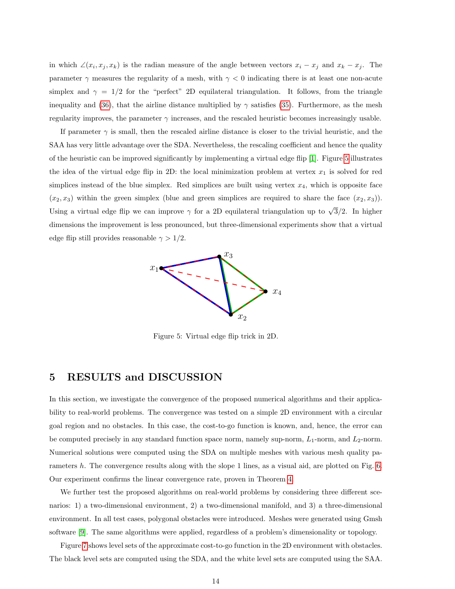<span id="page-13-1"></span>in which  $\angle(x_i, x_j, x_k)$  is the radian measure of the angle between vectors  $x_i - x_j$  and  $x_k - x_j$ . The parameter  $\gamma$  measures the regularity of a mesh, with  $\gamma < 0$  indicating there is at least one non-acute simplex and  $\gamma = 1/2$  for the "perfect" 2D equilateral triangulation. It follows, from the triangle inequality and [\(36\)](#page-12-4), that the airline distance multiplied by  $\gamma$  satisfies [\(35\)](#page-12-3). Furthermore, as the mesh regularity improves, the parameter  $\gamma$  increases, and the rescaled heuristic becomes increasingly usable.

If parameter  $\gamma$  is small, then the rescaled airline distance is closer to the trivial heuristic, and the SAA has very little advantage over the SDA. Nevertheless, the rescaling coefficient and hence the quality of the heuristic can be improved significantly by implementing a virtual edge flip [\[1\]](#page-17-7). Figure [5](#page-13-0) illustrates the idea of the virtual edge flip in 2D: the local minimization problem at vertex  $x_1$  is solved for red simplices instead of the blue simplex. Red simplices are built using vertex  $x_4$ , which is opposite face  $(x_2, x_3)$  within the green simplex (blue and green simplices are required to share the face  $(x_2, x_3)$ ). Using a virtual edge flip we can improve  $\gamma$  for a 2D equilateral triangulation up to  $\sqrt{3}/2$ . In higher dimensions the improvement is less pronounced, but three-dimensional experiments show that a virtual edge flip still provides reasonable  $\gamma > 1/2$ .

<span id="page-13-0"></span>

Figure 5: Virtual edge flip trick in 2D.

## 5 RESULTS and DISCUSSION

In this section, we investigate the convergence of the proposed numerical algorithms and their applicability to real-world problems. The convergence was tested on a simple 2D environment with a circular goal region and no obstacles. In this case, the cost-to-go function is known, and, hence, the error can be computed precisely in any standard function space norm, namely sup-norm,  $L_1$ -norm, and  $L_2$ -norm. Numerical solutions were computed using the SDA on multiple meshes with various mesh quality pa-rameters h. The convergence results along with the slope 1 lines, as a visual aid, are plotted on Fig. [6.](#page-14-0) Our experiment confirms the linear convergence rate, proven in Theorem [4.](#page-5-7)

We further test the proposed algorithms on real-world problems by considering three different scenarios: 1) a two-dimensional environment, 2) a two-dimensional manifold, and 3) a three-dimensional environment. In all test cases, polygonal obstacles were introduced. Meshes were generated using Gmsh software [\[9\]](#page-17-8). The same algorithms were applied, regardless of a problem's dimensionality or topology.

Figure [7](#page-14-1) shows level sets of the approximate cost-to-go function in the 2D environment with obstacles. The black level sets are computed using the SDA, and the white level sets are computed using the SAA.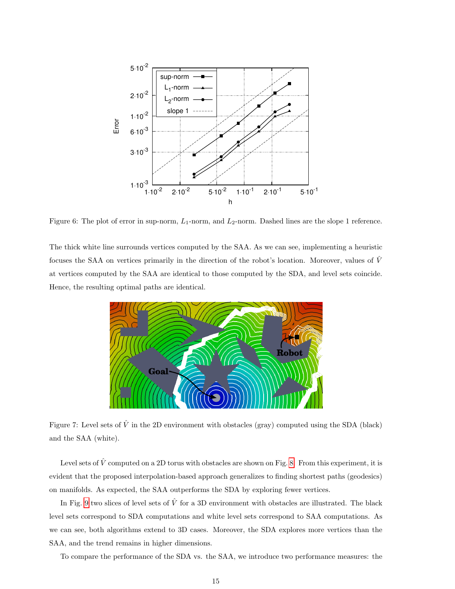<span id="page-14-0"></span>

Figure 6: The plot of error in sup-norm,  $L_1$ -norm, and  $L_2$ -norm. Dashed lines are the slope 1 reference.

<span id="page-14-1"></span>The thick white line surrounds vertices computed by the SAA. As we can see, implementing a heuristic focuses the SAA on vertices primarily in the direction of the robot's location. Moreover, values of  $\hat{V}$ at vertices computed by the SAA are identical to those computed by the SDA, and level sets coincide. Hence, the resulting optimal paths are identical.



Figure 7: Level sets of  $\hat{V}$  in the 2D environment with obstacles (gray) computed using the SDA (black) and the SAA (white).

Level sets of  $\hat{V}$  computed on a 2D torus with obstacles are shown on Fig. [8.](#page-15-0) From this experiment, it is evident that the proposed interpolation-based approach generalizes to finding shortest paths (geodesics) on manifolds. As expected, the SAA outperforms the SDA by exploring fewer vertices.

In Fig. [9](#page-15-1) two slices of level sets of  $\hat{V}$  for a 3D environment with obstacles are illustrated. The black level sets correspond to SDA computations and white level sets correspond to SAA computations. As we can see, both algorithms extend to 3D cases. Moreover, the SDA explores more vertices than the SAA, and the trend remains in higher dimensions.

To compare the performance of the SDA vs. the SAA, we introduce two performance measures: the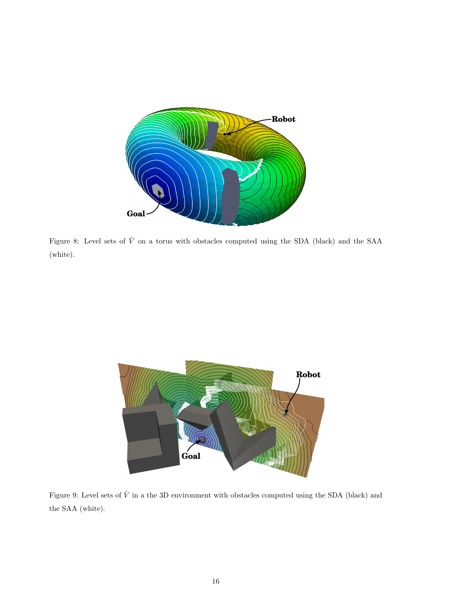<span id="page-15-0"></span>

Figure 8: Level sets of  $\hat{V}$  on a torus with obstacles computed using the SDA (black) and the SAA (white).

<span id="page-15-1"></span>

Figure 9: Level sets of  $\hat{V}$  in a the 3D environment with obstacles computed using the SDA (black) and the SAA (white).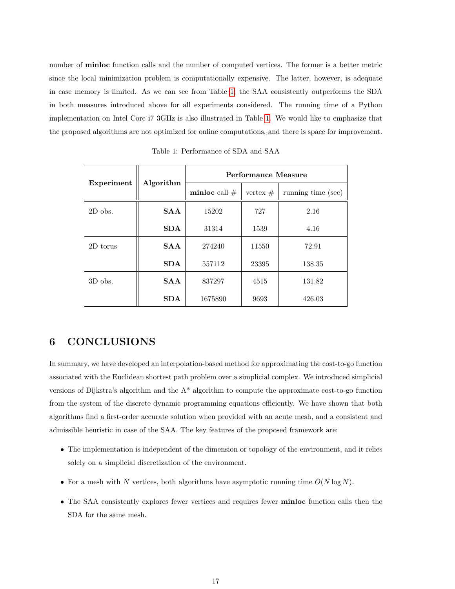number of minloc function calls and the number of computed vertices. The former is a better metric since the local minimization problem is computationally expensive. The latter, however, is adequate in case memory is limited. As we can see from Table [1,](#page-16-0) the SAA consistently outperforms the SDA in both measures introduced above for all experiments considered. The running time of a Python implementation on Intel Core i7 3GHz is also illustrated in Table [1.](#page-16-0) We would like to emphasize that the proposed algorithms are not optimized for online computations, and there is space for improvement.

<span id="page-16-0"></span>

| Experiment | Algorithm  | Performance Measure |            |                    |
|------------|------------|---------------------|------------|--------------------|
|            |            | minloc call $#$     | vertex $#$ | running time (sec) |
| $2D$ obs.  | <b>SAA</b> | 15202               | 727        | 2.16               |
|            | <b>SDA</b> | 31314               | 1539       | 4.16               |
| 2D torus   | <b>SAA</b> | 274240              | 11550      | 72.91              |
|            | <b>SDA</b> | 557112              | 23395      | 138.35             |
| $3D$ obs.  | <b>SAA</b> | 837297              | 4515       | 131.82             |
|            | <b>SDA</b> | 1675890             | 9693       | 426.03             |

Table 1: Performance of SDA and SAA

# 6 CONCLUSIONS

In summary, we have developed an interpolation-based method for approximating the cost-to-go function associated with the Euclidean shortest path problem over a simplicial complex. We introduced simplicial versions of Dijkstra's algorithm and the  $A^*$  algorithm to compute the approximate cost-to-go function from the system of the discrete dynamic programming equations efficiently. We have shown that both algorithms find a first-order accurate solution when provided with an acute mesh, and a consistent and admissible heuristic in case of the SAA. The key features of the proposed framework are:

- The implementation is independent of the dimension or topology of the environment, and it relies solely on a simplicial discretization of the environment.
- For a mesh with N vertices, both algorithms have asymptotic running time  $O(N \log N)$ .
- The SAA consistently explores fewer vertices and requires fewer **minloc** function calls then the SDA for the same mesh.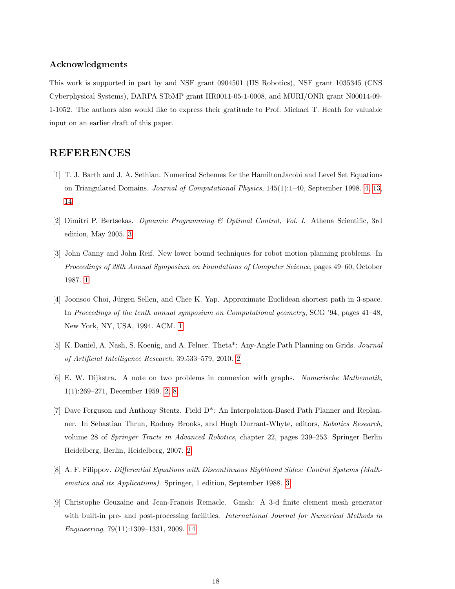#### Acknowledgments

This work is supported in part by and NSF grant 0904501 (IIS Robotics), NSF grant 1035345 (CNS Cyberphysical Systems), DARPA SToMP grant HR0011-05-1-0008, and MURI/ONR grant N00014-09- 1-1052. The authors also would like to express their gratitude to Prof. Michael T. Heath for valuable input on an earlier draft of this paper.

# REFERENCES

- <span id="page-17-7"></span>[1] T. J. Barth and J. A. Sethian. Numerical Schemes for the HamiltonJacobi and Level Set Equations on Triangulated Domains. Journal of Computational Physics, 145(1):1–40, September 1998. [4,](#page-3-3) [13,](#page-12-5) [14](#page-13-1)
- <span id="page-17-6"></span>[2] Dimitri P. Bertsekas. Dynamic Programming & Optimal Control, Vol. I. Athena Scientific, 3rd edition, May 2005. [3](#page-2-3)
- <span id="page-17-0"></span>[3] John Canny and John Reif. New lower bound techniques for robot motion planning problems. In Proceedings of 28th Annual Symposium on Foundations of Computer Science, pages 49–60, October 1987. [1](#page-0-1)
- <span id="page-17-1"></span>[4] Joonsoo Choi, Jürgen Sellen, and Chee K. Yap. Approximate Euclidean shortest path in 3-space. In Proceedings of the tenth annual symposium on Computational geometry, SCG '94, pages 41–48, New York, NY, USA, 1994. ACM. [1](#page-0-1)
- <span id="page-17-2"></span>[5] K. Daniel, A. Nash, S. Koenig, and A. Felner. Theta\*: Any-Angle Path Planning on Grids. Journal of Artificial Intelligence Research, 39:533–579, 2010. [2](#page-1-0)
- <span id="page-17-4"></span>[6] E. W. Dijkstra. A note on two problems in connexion with graphs. Numerische Mathematik, 1(1):269–271, December 1959. [2,](#page-1-0) [8](#page-7-4)
- <span id="page-17-3"></span>[7] Dave Ferguson and Anthony Stentz. Field D\*: An Interpolation-Based Path Planner and Replanner. In Sebastian Thrun, Rodney Brooks, and Hugh Durrant-Whyte, editors, Robotics Research, volume 28 of Springer Tracts in Advanced Robotics, chapter 22, pages 239–253. Springer Berlin Heidelberg, Berlin, Heidelberg, 2007. [2](#page-1-0)
- <span id="page-17-5"></span>[8] A. F. Filippov. Differential Equations with Discontinuous Righthand Sides: Control Systems (Mathematics and its Applications). Springer, 1 edition, September 1988. [3](#page-2-3)
- <span id="page-17-8"></span>[9] Christophe Geuzaine and Jean-Franois Remacle. Gmsh: A 3-d finite element mesh generator with built-in pre- and post-processing facilities. International Journal for Numerical Methods in Engineering, 79(11):1309–1331, 2009. [14](#page-13-1)